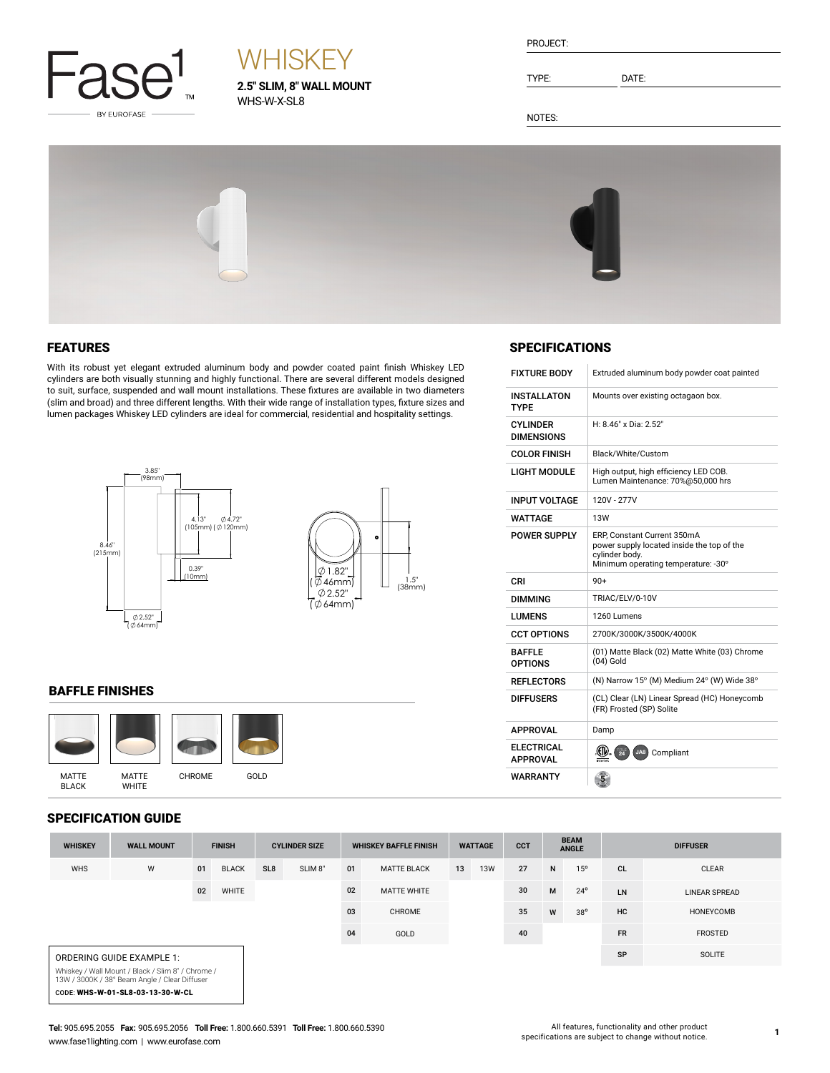

# **WHISKEY**

**2.5" SLIM, 8" WALL MOUNT** WHS-W-X-SL8

| PROJECT: |  |
|----------|--|
|          |  |
|          |  |

TYPE: DATE:

NOTES:



#### FEATURES

With its robust yet elegant extruded aluminum body and powder coated paint finish Whiskey LED cylinders are both visually stunning and highly functional. There are several different models designed to suit, surface, suspended and wall mount installations. These fixtures are available in two diameters (slim and broad) and three different lengths. With their wide range of installation types, fixture sizes and lumen packages Whiskey LED cylinders are ideal for commercial, residential and hospitality settings.



#### BAFFLE FINISHES



#### SPECIFICATION GUIDE

 $\overline{\phantom{a}}$ 

| <b>WHISKEY</b>                   | <b>WALL MOUNT</b>                                                                                  |    | <b>FINISH</b> | <b>CYLINDER SIZE</b> |                     | <b>WHISKEY BAFFLE FINISH</b> | <b>CCT</b><br><b>WATTAGE</b> |    | <b>BEAM</b><br><b>ANGLE</b> |    | <b>DIFFUSER</b> |              |           |                      |
|----------------------------------|----------------------------------------------------------------------------------------------------|----|---------------|----------------------|---------------------|------------------------------|------------------------------|----|-----------------------------|----|-----------------|--------------|-----------|----------------------|
| <b>WHS</b>                       | W                                                                                                  | 01 | <b>BLACK</b>  | SL <sub>8</sub>      | SLIM <sub>8</sub> " | 01                           | <b>MATTE BLACK</b>           | 13 | <b>13W</b>                  | 27 | N               | 15°          | <b>CL</b> | <b>CLEAR</b>         |
|                                  |                                                                                                    | 02 | WHITE         |                      |                     | 02                           | <b>MATTE WHITE</b>           |    |                             | 30 | M               | $24^{\circ}$ | LN        | <b>LINEAR SPREAD</b> |
|                                  |                                                                                                    |    |               |                      |                     | 03                           | CHROME                       |    |                             | 35 | W               | $38^{\circ}$ | HC        | HONEYCOMB            |
|                                  |                                                                                                    |    |               |                      |                     | 04                           | GOLD                         |    |                             | 40 |                 |              | <b>FR</b> | <b>FROSTED</b>       |
|                                  | ORDERING GUIDE EXAMPLE 1:                                                                          |    |               |                      |                     |                              |                              |    |                             |    |                 |              | SP        | SOLITE               |
|                                  | Whiskey / Wall Mount / Black / Slim 8" / Chrome /<br>13W / 3000K / 38° Beam Angle / Clear Diffuser |    |               |                      |                     |                              |                              |    |                             |    |                 |              |           |                      |
| CODE: WHS-W-01-SL8-03-13-30-W-CL |                                                                                                    |    |               |                      |                     |                              |                              |    |                             |    |                 |              |           |                      |

### **SPECIFICATIONS**

 $\overline{1}$ 

| <b>FIXTURE BODY</b>                  | Extruded aluminum body powder coat painted                                                                                         |
|--------------------------------------|------------------------------------------------------------------------------------------------------------------------------------|
| <b>INSTALLATON</b><br><b>TYPE</b>    | Mounts over existing octagaon box.                                                                                                 |
| CYI INDER<br><b>DIMENSIONS</b>       | $H: 8.46" \times Dia: 2.52"$                                                                                                       |
| <b>COLOR FINISH</b>                  | Black/White/Custom                                                                                                                 |
| <b>LIGHT MODULE</b>                  | High output, high efficiency LED COB.<br>Lumen Maintenance: 70%@50,000 hrs                                                         |
| <b>INPUT VOLTAGE</b>                 | 120V - 277V                                                                                                                        |
| WATTAGE                              | <b>13W</b>                                                                                                                         |
| <b>POWER SUPPLY</b>                  | ERP, Constant Current 350mA<br>power supply located inside the top of the<br>cylinder body.<br>Minimum operating temperature: -30° |
| CRI                                  | $90+$                                                                                                                              |
| <b>DIMMING</b>                       | TRIAC/ELV/0-10V                                                                                                                    |
| <b>LUMENS</b>                        | 1260 Lumens                                                                                                                        |
| <b>CCT OPTIONS</b>                   | 2700K/3000K/3500K/4000K                                                                                                            |
| <b>BAFFIF</b><br><b>OPTIONS</b>      | (01) Matte Black (02) Matte White (03) Chrome<br>$(04)$ Gold                                                                       |
| <b>REFLECTORS</b>                    | (N) Narrow 15° (M) Medium 24° (W) Wide 38°                                                                                         |
| <b>DIFFUSERS</b>                     | (CL) Clear (LN) Linear Spread (HC) Honeycomb<br>(FR) Frosted (SP) Solite                                                           |
| <b>APPROVAL</b>                      | Damp                                                                                                                               |
| <b>ELECTRICAL</b><br><b>APPROVAL</b> | 24<br>(CIV)<br>JA8) Compliant<br>ntertek                                                                                           |
| WARRANTY                             | $\overline{5}$                                                                                                                     |